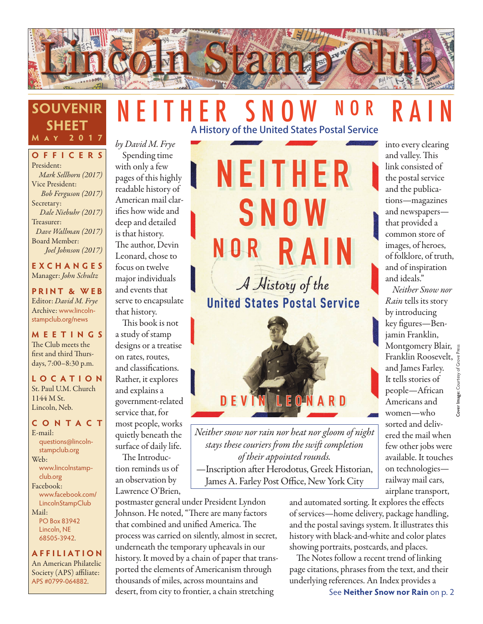

## NEITHER SNOW NOR RAIN A History of the United States Postal Service

**OFFICERS** President: *Mark Sellhorn (2017)* Vice President: *Bob Ferguson (2017)* Secretary: *Dale Niebuhr (2017)* Treasurer: *Dave Wallman (2017)* Board Member: *Joel Johnson (2017)*

**SOUVENIR**

**SHEET M ay 2017**

**EXCHANGES** Manager: *John Schultz*

**PRINT & WEB** Editor: *David M. Frye* Archive: www.lincolnstampclub.org/news

**MEETINGS** The Club meets the first and third Thursdays, 7:00–8:30 p.m.

**LO C ATI O N** St. Paul U.M. Church 1144 M St. Lincoln, Neb.

#### **CONTACT**

E-mail: questions@lincolnstampclub.org Web: www.lincolnstampclub.org Facebook: www.facebook.com/ LincolnStampClub Mail: PO Box 83942 Lincoln, NE

68505-3942.

**AFFI LIATI O N** An American Philatelic Society (APS) affiliate: APS #0799-064882.

*by David M. Frye* Spending time with only a few pages of this highly readable history of American mail clarifies how wide and deep and detailed is that history. The author, Devin Leonard, chose to focus on twelve major individuals and events that serve to encapsulate that history.

This book is not a study of stamp designs or a treatise on rates, routes, and classifications. Rather, it explores and explains a government-related service that, for most people, works quietly beneath the surface of daily life. The Introduc-

tion reminds us of an observation by Lawrence O'Brien,

postmaster general under President Lyndon Johnson. He noted, "There are many factors that combined and unified America. The process was carried on silently, almost in secret, underneath the temporary upheavals in our history. It moved by a chain of paper that transported the elements of Americanism through thousands of miles, across mountains and desert, from city to frontier, a chain stretching

NEITHER S NOW N O R R A A History of the **United States Postal Service** 



*Neither snow nor rain nor heat nor gloom of night stays these couriers from the swift completion of their appointed rounds.*

—Inscription after Herodotus, Greek Historian, James A. Farley Post Office, New York City

> and automated sorting. It explores the effects of services—home delivery, package handling, and the postal savings system. It illustrates this history with black-and-white and color plates showing portraits, postcards, and places.

The Notes follow a recent trend of linking page citations, phrases from the text, and their underlying references. An Index provides a

into every clearing and valley. This link consisted of the postal service and the publications—magazines and newspapers that provided a common store of images, of heroes, of folklore, of truth, and of inspiration

and ideals."

*Neither Snow nor Rain* tells its story by introducing key figures—Benjamin Franklin,

and James Farley. It tells stories of people—African Americans and women—who sorted and delivered the mail when few other jobs were available. It touches on technologies railway mail cars, airplane transport,

See **Neither Snow nor Rain** on p. 2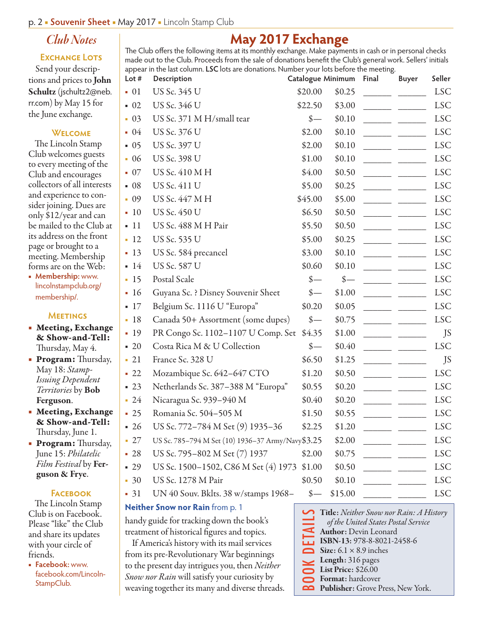### *Club Notes*

#### **EXCHANGE LOTS**

Send your descriptions and prices to John Schultz (jschultz2@neb. rr.com) by May 15 for the June exchange.

#### **Welcome**

The Lincoln Stamp Club welcomes guests to every meeting of the Club and encourages collectors of all interests and experience to consider joining. Dues are only \$12/year and can be mailed to the Club at its address on the front page or brought to a meeting. Membership forms are on the Web:

■ **Membership:** www. lincolnstampclub.org/ membership/.

#### **Meetings**

- Meeting, Exchange & Show-and-Tell: Thursday, May 4.
- Program: Thursday, May 18: *Stamp-Issuing Dependent Territories* by Bob Ferguson.
- Meeting, Exchange & Show-and-Tell: Thursday, June 1.
- Program: Thursday, June 15: *Philatelic Film Festival* by Ferguson & Frye.

#### **Facebook**

The Lincoln Stamp Club is on Facebook. Please "like" the Club and share its updates with your circle of friends.

■ **Facebook:** www. facebook.com/Lincoln-StampClub.

|  | May 2017 Exchange |
|--|-------------------|
|  |                   |

The Club offers the following items at its monthly exchange. Make payments in cash or in personal checks made out to the Club. Proceeds from the sale of donations benefit the Club's general work. Sellers' initials appear in the last column. **LSC** lots are donations. Number your lots before the meeting.

| Lot $#$           | Description                                       | Catalogue Minimum           |                             |  | <b>Buyer</b> | Seller     |
|-------------------|---------------------------------------------------|-----------------------------|-----------------------------|--|--------------|------------|
| $-01$             | US Sc. 345 U                                      | \$20.00                     | \$0.25                      |  |              | <b>LSC</b> |
| $\bullet$ 02      | US Sc. 346 U                                      | \$22.50                     | \$3.00                      |  |              | <b>LSC</b> |
| $-03$             | US Sc. 371 M H/small tear                         | $\frac{\ }{s-}$             | \$0.10                      |  |              | <b>LSC</b> |
| $-04$             | US Sc. 376 U                                      | \$2.00                      | \$0.10                      |  |              | <b>LSC</b> |
| $-05$             | US Sc. 397 U                                      | \$2.00                      | \$0.10                      |  |              | <b>LSC</b> |
| $-06$             | US Sc. 398 U                                      | \$1.00                      | \$0.10                      |  |              | <b>LSC</b> |
| $\bullet$ 07      | US Sc. 410 M H                                    | \$4.00                      | \$0.50                      |  |              | <b>LSC</b> |
| $-08$             | <b>US Sc. 411 U</b>                               | \$5.00                      | \$0.25                      |  |              | <b>LSC</b> |
| $-09$             | US Sc. 447 M H                                    | \$45.00                     | \$5.00                      |  |              | <b>LSC</b> |
| $-10$             | US Sc. 450 U                                      | \$6.50                      | \$0.50                      |  |              | <b>LSC</b> |
| $-11$             | US Sc. 488 M H Pair                               | \$5.50                      | \$0.50                      |  |              | <b>LSC</b> |
| $-12$             | US Sc. 535 U                                      | \$5.00                      | \$0.25                      |  |              | <b>LSC</b> |
| $-13$             | US Sc. 584 precancel                              | \$3.00                      | \$0.10                      |  |              | <b>LSC</b> |
| $-14$             | <b>US Sc. 587 U</b>                               | \$0.60                      | \$0.10                      |  |              | <b>LSC</b> |
| $-15$             | Postal Scale                                      | $\frac{\text{S}}{\text{}}$  | $\frac{\text{I}}{\text{I}}$ |  |              | <b>LSC</b> |
| $-16$             | Guyana Sc. ? Disney Souvenir Sheet                | $\frac{\text{I}}{\text{I}}$ | \$1.00                      |  |              | <b>LSC</b> |
| $-17$             | Belgium Sc. 1116 U "Europa"                       | \$0.20                      | \$0.05                      |  |              | <b>LSC</b> |
| $-18$             | Canada 50+ Assortment (some dupes)                | $\frac{\text{S}}{\text{A}}$ | \$0.75                      |  |              | <b>LSC</b> |
| $-19$             | PR Congo Sc. 1102-1107 U Comp. Set                | \$4.35                      | \$1.00                      |  |              | JS         |
| $-20$             | Costa Rica M & U Collection                       | $\frac{\ }{s-}$             | \$0.40                      |  |              | <b>LSC</b> |
| $-21$             | France Sc. 328 U                                  | \$6.50                      | \$1.25                      |  |              | JS         |
| $\blacksquare$ 22 | Mozambique Sc. 642-647 CTO                        | \$1.20                      | \$0.50                      |  |              | <b>LSC</b> |
| $-23$             | Netherlands Sc. 387-388 M "Europa"                | \$0.55                      | \$0.20                      |  |              | <b>LSC</b> |
| $-24$             | Nicaragua Sc. 939-940 M                           | \$0.40                      | \$0.20                      |  |              | <b>LSC</b> |
| $-25$             | Romania Sc. 504-505 M                             | \$1.50                      | \$0.55                      |  |              | <b>LSC</b> |
| $-26$             | US Sc. 772–784 M Set (9) 1935–36                  | \$2.25                      | \$1.20                      |  |              | <b>LSC</b> |
| $\blacksquare$ 27 | US Sc. 785-794 M Set (10) 1936-37 Army/Navy\$3.25 |                             | \$2.00                      |  |              | <b>LSC</b> |
| $-28$             | US Sc. 795–802 M Set (7) 1937                     | \$2.00                      | \$0.75                      |  |              | <b>LSC</b> |
| $-29$             | US Sc. 1500–1502, C86 M Set (4) 1973              | \$1.00                      | \$0.50                      |  |              | <b>LSC</b> |
| $-30$             | US Sc. 1278 M Pair                                | \$0.50                      | \$0.10                      |  |              | <b>LSC</b> |
| $-31$             | UN 40 Souv. Bklts. 38 w/stamps 1968-              | $\frac{\ }{5}$ —            | \$15.00                     |  |              | <b>LSC</b> |

DOON DETAILS

#### **Neither Snow nor Rain** from p. 1

handy guide for tracking down the book's treatment of historical figures and topics.

If America's history with its mail services from its pre-Revolutionary War beginnings to the present day intrigues you, then *Neither Snow nor Rain* will satisfy your curiosity by weaving together its many and diverse threads.

| Title: Neither Snow nor Rain: A History      |
|----------------------------------------------|
| of the United States Postal Service          |
| Author: Devin Leonard                        |
| ISBN-13: 978-8-8021-2458-6                   |
| $\sum$ Size: 6.1 × 8.9 inches                |
| $\sim$ Length: 316 pages                     |
| $\overline{\phantom{0}}$ List Price: \$26.00 |
| <b>S</b> Format: hardcover                   |
| Publisher: Grove Press, New York.            |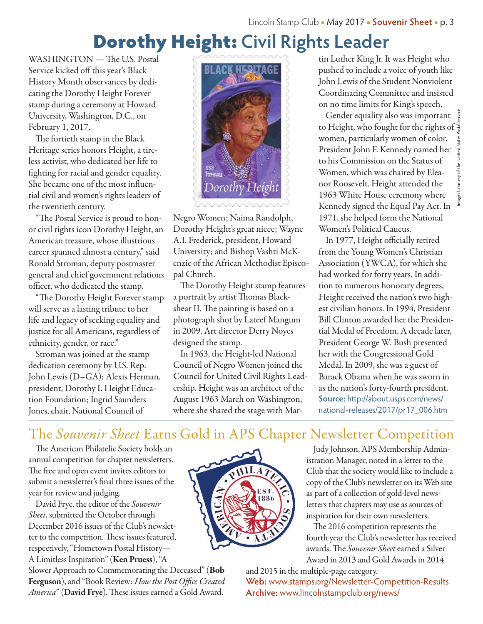# Dorothy Height: **Civil Rights Leader**

WASHINGTON — The U.S. Postal Service kicked off this year's Black History Month observances by dedicating the Dorothy Height Forever stamp during a ceremony at Howard University, Washington, D.C., on February 1, 2017.

The fortieth stamp in the Black Heritage series honors Height, a tireless activist, who dedicated her life to fighting for racial and gender equality. She became one of the most influential civil and women's rights leaders of the twentieth century.

"The Postal Service is proud to honor civil rights icon Dorothy Height, an American treasure, whose illustrious career spanned almost a century," said Ronald Stroman, deputy postmaster general and chief government relations officer, who dedicated the stamp.

"The Dorothy Height Forever stamp will serve as a lasting tribute to her life and legacy of seeking equality and justice for all Americans, regardless of ethnicity, gender, or race."

Stroman was joined at the stamp dedication ceremony by U.S. Rep. John Lewis (D–GA); Alexis Herman, president, Dorothy I. Height Education Foundation; Ingrid Saunders Jones, chair, National Council of



Negro Women; Naima Randolph, Dorothy Height's great niece; Wayne A.I. Frederick, president, Howard University; and Bishop Vashti McKenzie of the African Methodist Episcopal Church.

The Dorothy Height stamp features a portrait by artist Thomas Blackshear II. The painting is based on a photograph shot by Lateef Mangum in 2009. Art director Derry Noyes designed the stamp.

In 1963, the Height-led National Council of Negro Women joined the Council for United Civil Rights Leadership. Height was an architect of the August 1963 March on Washington, where she shared the stage with Mar-

1 tin Luther King Jr. It was Height who pushed to include a voice of youth like John Lewis of the Student Nonviolent Coordinating Committee and insisted on no time limits for King's speech.

Gender equality also was important to Height, who fought for the rights of women, particularly women of color. President John F. Kennedy named her to his Commission on the Status of Women, which was chaired by Eleanor Roosevelt. Height attended the 1963 White House ceremony where Kennedy signed the Equal Pay Act. In 1971, she helped form the National Women's Political Caucus.

In 1977, Height officially retired from the Young Women's Christian Association (YWCA), for which she had worked for forty years. In addition to numerous honorary degrees, Height received the nation's two highest civilian honors. In 1994, President Bill Clinton awarded her the Presidential Medal of Freedom. A decade later, President George W. Bush presented her with the Congressional Gold Medal. In 2009, she was a guest of Barack Obama when he was sworn in as the nation's forty-fourth president. **Source:** http://about.usps.com/news/ national-releases/2017/pr17\_006.htm

## The *Souvenir Sheet* Earns Gold in APS Chapter Newsletter Competition

The American Philatelic Society holds an annual competition for chapter newsletters. The free and open event invites editors to submit a newsletter's final three issues of the year for review and judging.

David Frye, the editor of the *Souvenir Sheet*, submitted the October through December 2016 issues of the Club's newsletter to the competition. These issues featured, respectively, "Hometown Postal History— A Limitless Inspiration" (Ken Pruess), "A

Slower Approach to Commemorating the Deceased" (Bob Ferguson), and "Book Review: *How the Post Office Created America*" (David Frye). These issues earned a Gold Award.



Judy Johnson, APS Membership Administration Manager, noted in a letter to the Club that the society would like to include a copy of the Club's newsletter on its Web site as part of a collection of gold-level newsletters that chapters may use as sources of inspiration for their own newsletters.

The 2016 competition represents the fourth year the Club's newsletter has received awards. The *Souvenir Sheet* earned a Silver Award in 2013 and Gold Awards in 2014

and 2015 in the multiple-page category. **Web:** www.stamps.org/Newsletter-Competition-Results **Archive:** www.lincolnstampclub.org/news/